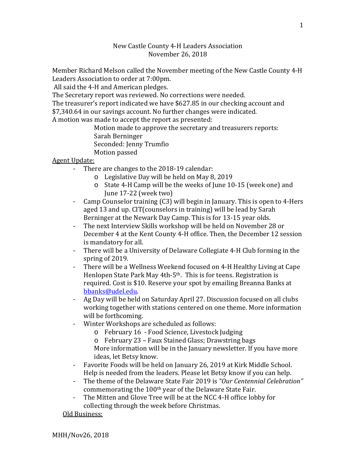## New Castle County 4-H Leaders Association November 26, 2018

Member Richard Melson called the November meeting of the New Castle County 4-H Leaders Association to order at 7:00pm.

All said the 4-H and American pledges.

The Secretary report was reviewed. No corrections were needed.

The treasurer's report indicated we have \$627.85 in our checking account and

\$7,340.64 in our savings account. No further changes were indicated.

A motion was made to accept the report as presented:

Motion made to approve the secretary and treasurers reports: Sarah Berninger Seconded: Jenny Trumfio Motion passed

## Agent Update:

- There are changes to the 2018-19 calendar:
	- o Legislative Day will be held on May 8, 2019
	- o State 4-H Camp will be the weeks of June 10-15 (week one) and June 17-22 (week two)
- Camp Counselor training (C3) will begin in January. This is open to 4-Hers aged 13 and up. CIT(counselors in training) will be lead by Sarah Berninger at the Newark Day Camp. This is for 13-15 year olds.
- The next Interview Skills workshop will be held on November 28 or December 4 at the Kent County 4-H office. Then, the December 12 session is mandatory for all.
- There will be a University of Delaware Collegiate 4-H Club forming in the spring of 2019.
- There will be a Wellness Weekend focused on 4-H Healthy Living at Cape Henlopen State Park May 4th-5th. This is for teens. Registration is required. Cost is \$10. Reserve your spot by emailing Breanna Banks at [bbanks@udel.edu.](mailto:bbanks@udel.edu)
- Ag Day will be held on Saturday April 27. Discussion focused on all clubs working together with stations centered on one theme. More information will be forthcoming.
- Winter Workshops are scheduled as follows:
	- o February 16 Food Science, Livestock Judging
	- o February 23 Faux Stained Glass; Drawstring bags More information will be in the January newsletter. If you have more ideas, let Betsy know.
- Favorite Foods will be held on January 26, 2019 at Kirk Middle School. Help is needed from the leaders. Please let Betsy know if you can help.
- The theme of the Delaware State Fair 2019 is *"Our Centennial Celebration"* commemorating the 100th year of the Delaware State Fair.
- The Mitten and Glove Tree will be at the NCC 4-H office lobby for collecting through the week before Christmas.

## Old Business: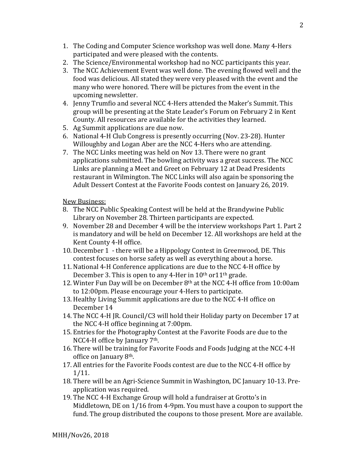- 1. The Coding and Computer Science workshop was well done. Many 4-Hers participated and were pleased with the contents.
- 2. The Science/Environmental workshop had no NCC participants this year.
- 3. The NCC Achievement Event was well done. The evening flowed well and the food was delicious. All stated they were very pleased with the event and the many who were honored. There will be pictures from the event in the upcoming newsletter.
- 4. Jenny Trumfio and several NCC 4-Hers attended the Maker's Summit. This group will be presenting at the State Leader's Forum on February 2 in Kent County. All resources are available for the activities they learned.
- 5. Ag Summit applications are due now.
- 6. National 4-H Club Congress is presently occurring (Nov. 23-28). Hunter Willoughby and Logan Aber are the NCC 4-Hers who are attending.
- 7. The NCC Links meeting was held on Nov 13. There were no grant applications submitted. The bowling activity was a great success. The NCC Links are planning a Meet and Greet on February 12 at Dead Presidents restaurant in Wilmington. The NCC Links will also again be sponsoring the Adult Dessert Contest at the Favorite Foods contest on January 26, 2019.

New Business:

- 8. The NCC Public Speaking Contest will be held at the Brandywine Public Library on November 28. Thirteen participants are expected.
- 9. November 28 and December 4 will be the interview workshops Part 1. Part 2 is mandatory and will be held on December 12. All workshops are held at the Kent County 4-H office.
- 10. December 1 there will be a Hippology Contest in Greenwood, DE. This contest focuses on horse safety as well as everything about a horse.
- 11. National 4-H Conference applications are due to the NCC 4-H office by December 3. This is open to any 4-Her in  $10<sup>th</sup>$  or $11<sup>th</sup>$  grade.
- 12. Winter Fun Day will be on December 8th at the NCC 4-H office from 10:00am to 12:00pm. Please encourage your 4-Hers to participate.
- 13. Healthy Living Summit applications are due to the NCC 4-H office on December 14
- 14. The NCC 4-H JR. Council/C3 will hold their Holiday party on December 17 at the NCC 4-H office beginning at 7:00pm.
- 15. Entries for the Photography Contest at the Favorite Foods are due to the NCC4-H office by January 7th.
- 16. There will be training for Favorite Foods and Foods Judging at the NCC 4-H office on January 8th.
- 17. All entries for the Favorite Foods contest are due to the NCC 4-H office by 1/11.
- 18. There will be an Agri-Science Summit in Washington, DC January 10-13. Preapplication was required.
- 19. The NCC 4-H Exchange Group will hold a fundraiser at Grotto's in Middletown, DE on 1/16 from 4-9pm. You must have a coupon to support the fund. The group distributed the coupons to those present. More are available.